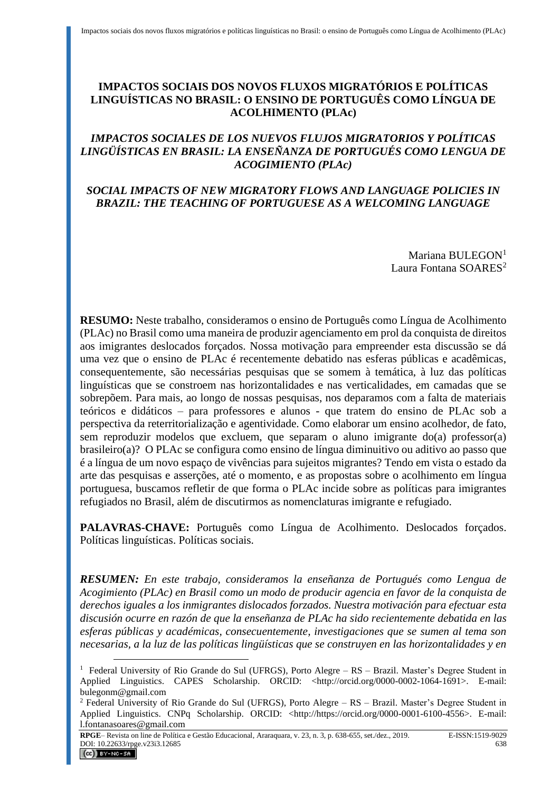## **IMPACTOS SOCIAIS DOS NOVOS FLUXOS MIGRATÓRIOS E POLÍTICAS LINGUÍSTICAS NO BRASIL: O ENSINO DE PORTUGUÊS COMO LÍNGUA DE ACOLHIMENTO (PLAc)**

## *IMPACTOS SOCIALES DE LOS NUEVOS FLUJOS MIGRATORIOS Y POLÍTICAS LINGÜÍSTICAS EN BRASIL: LA ENSEÑANZA DE PORTUGUÉS COMO LENGUA DE ACOGIMIENTO (PLAc)*

## *SOCIAL IMPACTS OF NEW MIGRATORY FLOWS AND LANGUAGE POLICIES IN BRAZIL: THE TEACHING OF PORTUGUESE AS A WELCOMING LANGUAGE*

Mariana BULEGON<sup>1</sup> Laura Fontana SOARES<sup>2</sup>

**RESUMO:** Neste trabalho, consideramos o ensino de Português como Língua de Acolhimento (PLAc) no Brasil como uma maneira de produzir agenciamento em prol da conquista de direitos aos imigrantes deslocados forçados. Nossa motivação para empreender esta discussão se dá uma vez que o ensino de PLAc é recentemente debatido nas esferas públicas e acadêmicas, consequentemente, são necessárias pesquisas que se somem à temática, à luz das políticas linguísticas que se constroem nas horizontalidades e nas verticalidades, em camadas que se sobrepõem. Para mais, ao longo de nossas pesquisas, nos deparamos com a falta de materiais teóricos e didáticos – para professores e alunos - que tratem do ensino de PLAc sob a perspectiva da reterritorialização e agentividade. Como elaborar um ensino acolhedor, de fato, sem reproduzir modelos que excluem, que separam o aluno imigrante do(a) professor(a) brasileiro(a)? O PLAc se configura como ensino de língua diminuitivo ou aditivo ao passo que é a língua de um novo espaço de vivências para sujeitos migrantes? Tendo em vista o estado da arte das pesquisas e asserções, até o momento, e as propostas sobre o acolhimento em língua portuguesa, buscamos refletir de que forma o PLAc incide sobre as políticas para imigrantes refugiados no Brasil, além de discutirmos as nomenclaturas imigrante e refugiado.

**PALAVRAS-CHAVE:** Português como Língua de Acolhimento. Deslocados forçados. Políticas linguísticas. Políticas sociais.

*RESUMEN: En este trabajo, consideramos la enseñanza de Portugués como Lengua de Acogimiento (PLAc) en Brasil como un modo de producir agencia en favor de la conquista de derechos iguales a los inmigrantes dislocados forzados. Nuestra motivación para efectuar esta discusión ocurre en razón de que la enseñanza de PLAc ha sido recientemente debatida en las esferas públicas y académicas, consecuentemente, investigaciones que se sumen al tema son necesarias, a la luz de las políticas lingüísticas que se construyen en las horizontalidades y en* 

**RPGE**– Revista on line de Política e Gestão Educacional, Araraquara, v. 23, n. 3, p. 638-655, set./dez., 2019. E-ISSN:1519-9029 DOI: 10.22633/rpge.v23i3.12685 638<br> **CC** BY-NG-SA

<sup>&</sup>lt;sup>1</sup> Federal University of Rio Grande do Sul (UFRGS), Porto Alegre – RS – Brazil. Master's Degree Student in Applied Linguistics. CAPES Scholarship. ORCID: <http://orcid.org/0000-0002-1064-1691>. E-mail: bulegonm@gmail.com

 $2$  Federal University of Rio Grande do Sul (UFRGS), Porto Alegre – RS – Brazil. Master's Degree Student in Applied Linguistics. CNPq Scholarship. ORCID: <http://https://orcid.org/0000-0001-6100-4556>. E-mail: l.fontanasoares@gmail.com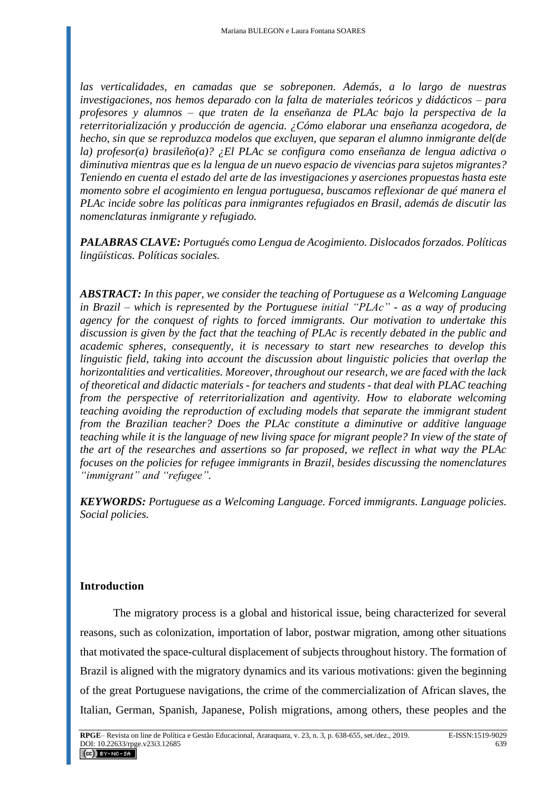*las verticalidades, en camadas que se sobreponen. Además, a lo largo de nuestras investigaciones, nos hemos deparado con la falta de materiales teóricos y didácticos – para profesores y alumnos – que traten de la enseñanza de PLAc bajo la perspectiva de la reterritorialización y producción de agencia. ¿Cómo elaborar una enseñanza acogedora, de hecho, sin que se reproduzca modelos que excluyen, que separan el alumno inmigrante del(de la) profesor(a) brasileño(a)? ¿El PLAc se configura como enseñanza de lengua adictiva o diminutiva mientras que es la lengua de un nuevo espacio de vivencias para sujetos migrantes? Teniendo en cuenta el estado del arte de las investigaciones y aserciones propuestas hasta este momento sobre el acogimiento en lengua portuguesa, buscamos reflexionar de qué manera el PLAc incide sobre las políticas para inmigrantes refugiados en Brasil, además de discutir las nomenclaturas inmigrante y refugiado.* 

*PALABRAS CLAVE: Portugués como Lengua de Acogimiento. Dislocados forzados. Políticas lingüísticas. Políticas sociales.* 

*ABSTRACT: In this paper, we consider the teaching of Portuguese as a Welcoming Language in Brazil – which is represented by the Portuguese initial "PLAc" - as a way of producing agency for the conquest of rights to forced immigrants. Our motivation to undertake this discussion is given by the fact that the teaching of PLAc is recently debated in the public and academic spheres, consequently, it is necessary to start new researches to develop this linguistic field, taking into account the discussion about linguistic policies that overlap the horizontalities and verticalities. Moreover, throughout our research, we are faced with the lack of theoretical and didactic materials - for teachers and students - that deal with PLAC teaching from the perspective of reterritorialization and agentivity. How to elaborate welcoming teaching avoiding the reproduction of excluding models that separate the immigrant student from the Brazilian teacher? Does the PLAc constitute a diminutive or additive language teaching while it is the language of new living space for migrant people? In view of the state of the art of the researches and assertions so far proposed, we reflect in what way the PLAc focuses on the policies for refugee immigrants in Brazil, besides discussing the nomenclatures "immigrant" and "refugee".*

*KEYWORDS: Portuguese as a Welcoming Language. Forced immigrants. Language policies. Social policies.*

### **Introduction**

The migratory process is a global and historical issue, being characterized for several reasons, such as colonization, importation of labor, postwar migration, among other situations that motivated the space-cultural displacement of subjects throughout history. The formation of Brazil is aligned with the migratory dynamics and its various motivations: given the beginning of the great Portuguese navigations, the crime of the commercialization of African slaves, the Italian, German, Spanish, Japanese, Polish migrations, among others, these peoples and the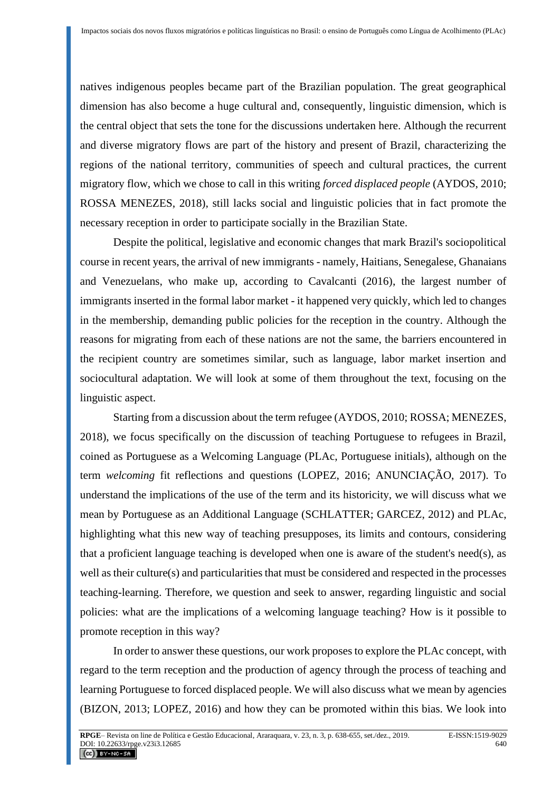natives indigenous peoples became part of the Brazilian population. The great geographical dimension has also become a huge cultural and, consequently, linguistic dimension, which is the central object that sets the tone for the discussions undertaken here. Although the recurrent and diverse migratory flows are part of the history and present of Brazil, characterizing the regions of the national territory, communities of speech and cultural practices, the current migratory flow, which we chose to call in this writing *forced displaced people* (AYDOS, 2010; ROSSA MENEZES, 2018), still lacks social and linguistic policies that in fact promote the necessary reception in order to participate socially in the Brazilian State.

Despite the political, legislative and economic changes that mark Brazil's sociopolitical course in recent years, the arrival of new immigrants - namely, Haitians, Senegalese, Ghanaians and Venezuelans, who make up, according to Cavalcanti (2016), the largest number of immigrants inserted in the formal labor market - it happened very quickly, which led to changes in the membership, demanding public policies for the reception in the country. Although the reasons for migrating from each of these nations are not the same, the barriers encountered in the recipient country are sometimes similar, such as language, labor market insertion and sociocultural adaptation. We will look at some of them throughout the text, focusing on the linguistic aspect.

Starting from a discussion about the term refugee (AYDOS, 2010; ROSSA; MENEZES, 2018), we focus specifically on the discussion of teaching Portuguese to refugees in Brazil, coined as Portuguese as a Welcoming Language (PLAc, Portuguese initials), although on the term *welcoming* fit reflections and questions (LOPEZ, 2016; ANUNCIAÇÃO, 2017). To understand the implications of the use of the term and its historicity, we will discuss what we mean by Portuguese as an Additional Language (SCHLATTER; GARCEZ, 2012) and PLAc, highlighting what this new way of teaching presupposes, its limits and contours, considering that a proficient language teaching is developed when one is aware of the student's need(s), as well as their culture(s) and particularities that must be considered and respected in the processes teaching-learning. Therefore, we question and seek to answer, regarding linguistic and social policies: what are the implications of a welcoming language teaching? How is it possible to promote reception in this way?

In order to answer these questions, our work proposes to explore the PLAc concept, with regard to the term reception and the production of agency through the process of teaching and learning Portuguese to forced displaced people. We will also discuss what we mean by agencies (BIZON, 2013; LOPEZ, 2016) and how they can be promoted within this bias. We look into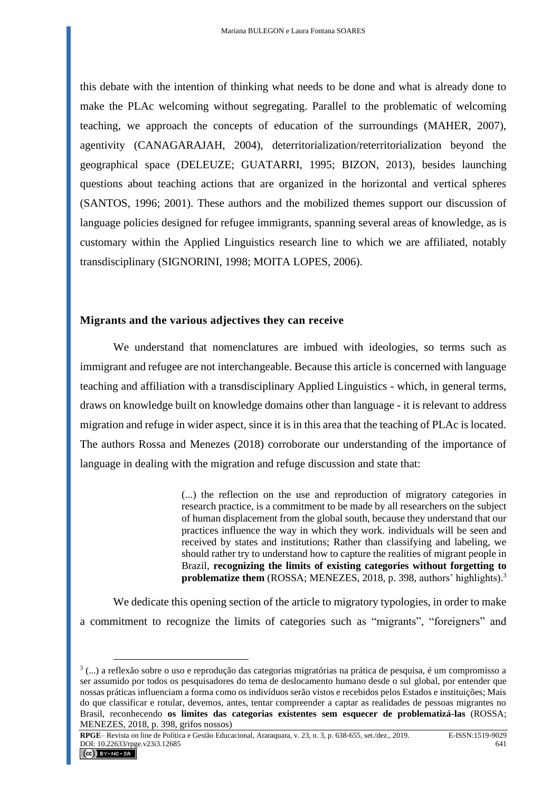this debate with the intention of thinking what needs to be done and what is already done to make the PLAc welcoming without segregating. Parallel to the problematic of welcoming teaching, we approach the concepts of education of the surroundings (MAHER, 2007), agentivity (CANAGARAJAH, 2004), deterritorialization/reterritorialization beyond the geographical space (DELEUZE; GUATARRI, 1995; BIZON, 2013), besides launching questions about teaching actions that are organized in the horizontal and vertical spheres (SANTOS, 1996; 2001). These authors and the mobilized themes support our discussion of language policies designed for refugee immigrants, spanning several areas of knowledge, as is customary within the Applied Linguistics research line to which we are affiliated, notably transdisciplinary (SIGNORINI, 1998; MOITA LOPES, 2006).

### **Migrants and the various adjectives they can receive**

We understand that nomenclatures are imbued with ideologies, so terms such as immigrant and refugee are not interchangeable. Because this article is concerned with language teaching and affiliation with a transdisciplinary Applied Linguistics - which, in general terms, draws on knowledge built on knowledge domains other than language - it is relevant to address migration and refuge in wider aspect, since it is in this area that the teaching of PLAc is located. The authors Rossa and Menezes (2018) corroborate our understanding of the importance of language in dealing with the migration and refuge discussion and state that:

> (...) the reflection on the use and reproduction of migratory categories in research practice, is a commitment to be made by all researchers on the subject of human displacement from the global south, because they understand that our practices influence the way in which they work. individuals will be seen and received by states and institutions; Rather than classifying and labeling, we should rather try to understand how to capture the realities of migrant people in Brazil, **recognizing the limits of existing categories without forgetting to problematize them** (ROSSA; MENEZES, 2018, p. 398, authors' highlights).<sup>3</sup>

We dedicate this opening section of the article to migratory typologies, in order to make a commitment to recognize the limits of categories such as "migrants", "foreigners" and

**RPGE**– Revista on line de Política e Gestão Educacional, Araraquara, v. 23, n. 3, p. 638-655, set./dez., 2019. E-ISSN:1519-9029 DOI:  $10.22633/\text{rpge.}$ v23i3.12685 641

<sup>3</sup> (...) a reflexão sobre o uso e reprodução das categorias migratórias na prática de pesquisa, é um compromisso a ser assumido por todos os pesquisadores do tema de deslocamento humano desde o sul global, por entender que nossas práticas influenciam a forma como os indivíduos serão vistos e recebidos pelos Estados e instituições; Mais do que classificar e rotular, devemos, antes, tentar compreender a captar as realidades de pessoas migrantes no Brasil, reconhecendo **os limites das categorias existentes sem esquecer de problematizá-las** (ROSSA; MENEZES, 2018, p. 398, grifos nossos)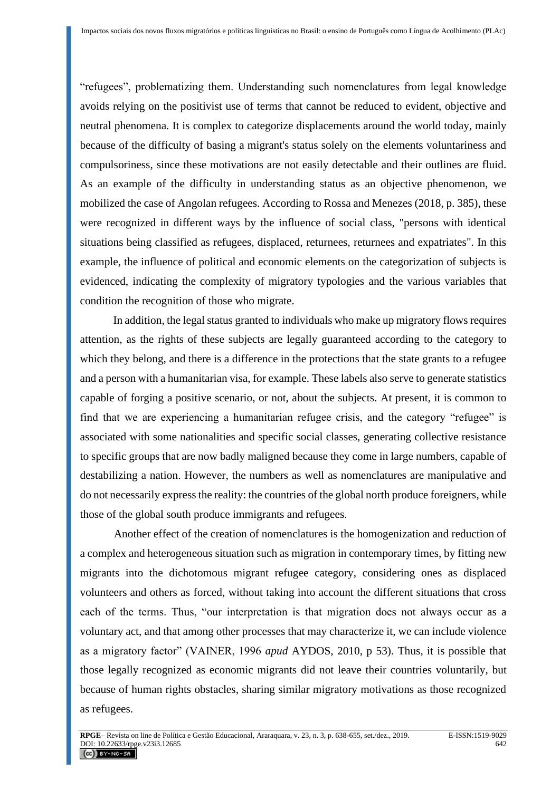"refugees", problematizing them. Understanding such nomenclatures from legal knowledge avoids relying on the positivist use of terms that cannot be reduced to evident, objective and neutral phenomena. It is complex to categorize displacements around the world today, mainly because of the difficulty of basing a migrant's status solely on the elements voluntariness and compulsoriness, since these motivations are not easily detectable and their outlines are fluid. As an example of the difficulty in understanding status as an objective phenomenon, we mobilized the case of Angolan refugees. According to Rossa and Menezes (2018, p. 385), these were recognized in different ways by the influence of social class, "persons with identical situations being classified as refugees, displaced, returnees, returnees and expatriates". In this example, the influence of political and economic elements on the categorization of subjects is evidenced, indicating the complexity of migratory typologies and the various variables that condition the recognition of those who migrate.

In addition, the legal status granted to individuals who make up migratory flows requires attention, as the rights of these subjects are legally guaranteed according to the category to which they belong, and there is a difference in the protections that the state grants to a refugee and a person with a humanitarian visa, for example. These labels also serve to generate statistics capable of forging a positive scenario, or not, about the subjects. At present, it is common to find that we are experiencing a humanitarian refugee crisis, and the category "refugee" is associated with some nationalities and specific social classes, generating collective resistance to specific groups that are now badly maligned because they come in large numbers, capable of destabilizing a nation. However, the numbers as well as nomenclatures are manipulative and do not necessarily express the reality: the countries of the global north produce foreigners, while those of the global south produce immigrants and refugees.

Another effect of the creation of nomenclatures is the homogenization and reduction of a complex and heterogeneous situation such as migration in contemporary times, by fitting new migrants into the dichotomous migrant refugee category, considering ones as displaced volunteers and others as forced, without taking into account the different situations that cross each of the terms. Thus, "our interpretation is that migration does not always occur as a voluntary act, and that among other processes that may characterize it, we can include violence as a migratory factor" (VAINER, 1996 *apud* AYDOS, 2010, p 53). Thus, it is possible that those legally recognized as economic migrants did not leave their countries voluntarily, but because of human rights obstacles, sharing similar migratory motivations as those recognized as refugees.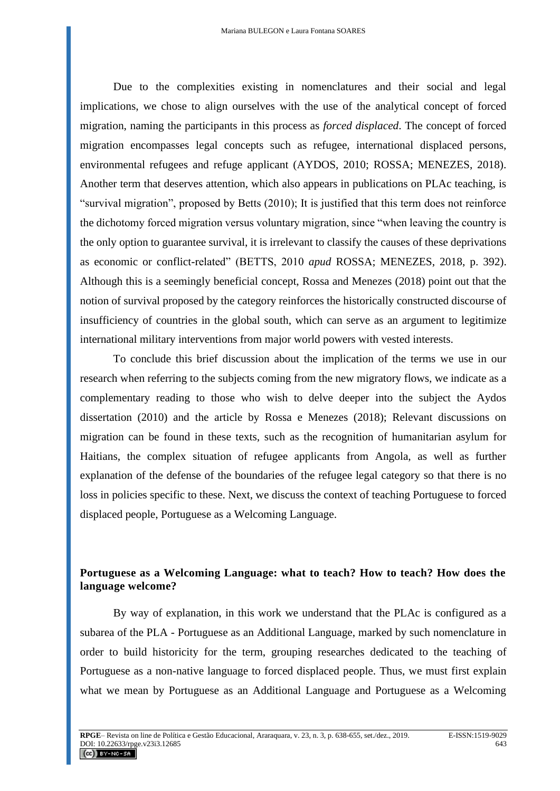Due to the complexities existing in nomenclatures and their social and legal implications, we chose to align ourselves with the use of the analytical concept of forced migration, naming the participants in this process as *forced displaced*. The concept of forced migration encompasses legal concepts such as refugee, international displaced persons, environmental refugees and refuge applicant (AYDOS, 2010; ROSSA; MENEZES, 2018). Another term that deserves attention, which also appears in publications on PLAc teaching, is "survival migration", proposed by Betts (2010); It is justified that this term does not reinforce the dichotomy forced migration versus voluntary migration, since "when leaving the country is the only option to guarantee survival, it is irrelevant to classify the causes of these deprivations as economic or conflict-related" (BETTS, 2010 *apud* ROSSA; MENEZES, 2018, p. 392). Although this is a seemingly beneficial concept, Rossa and Menezes (2018) point out that the notion of survival proposed by the category reinforces the historically constructed discourse of insufficiency of countries in the global south, which can serve as an argument to legitimize international military interventions from major world powers with vested interests.

To conclude this brief discussion about the implication of the terms we use in our research when referring to the subjects coming from the new migratory flows, we indicate as a complementary reading to those who wish to delve deeper into the subject the Aydos dissertation (2010) and the article by Rossa e Menezes (2018); Relevant discussions on migration can be found in these texts, such as the recognition of humanitarian asylum for Haitians, the complex situation of refugee applicants from Angola, as well as further explanation of the defense of the boundaries of the refugee legal category so that there is no loss in policies specific to these. Next, we discuss the context of teaching Portuguese to forced displaced people, Portuguese as a Welcoming Language.

# **Portuguese as a Welcoming Language: what to teach? How to teach? How does the language welcome?**

By way of explanation, in this work we understand that the PLAc is configured as a subarea of the PLA - Portuguese as an Additional Language, marked by such nomenclature in order to build historicity for the term, grouping researches dedicated to the teaching of Portuguese as a non-native language to forced displaced people. Thus, we must first explain what we mean by Portuguese as an Additional Language and Portuguese as a Welcoming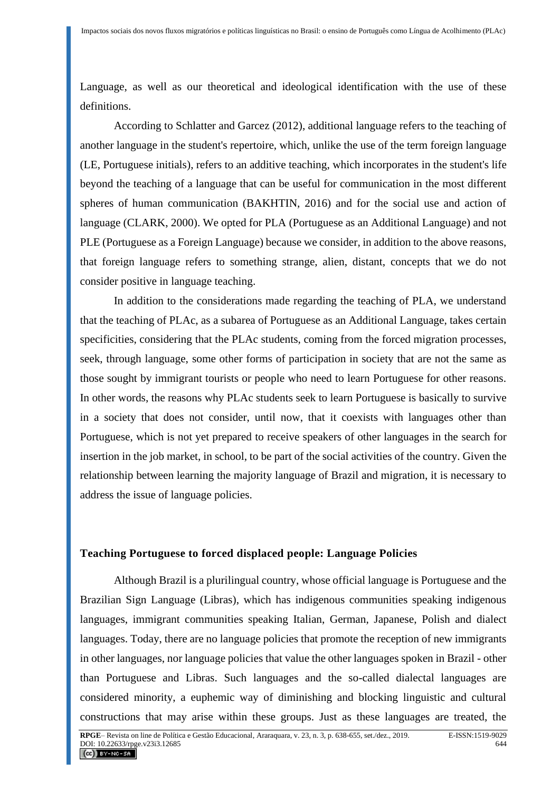Language, as well as our theoretical and ideological identification with the use of these definitions.

According to Schlatter and Garcez (2012), additional language refers to the teaching of another language in the student's repertoire, which, unlike the use of the term foreign language (LE, Portuguese initials), refers to an additive teaching, which incorporates in the student's life beyond the teaching of a language that can be useful for communication in the most different spheres of human communication (BAKHTIN, 2016) and for the social use and action of language (CLARK, 2000). We opted for PLA (Portuguese as an Additional Language) and not PLE (Portuguese as a Foreign Language) because we consider, in addition to the above reasons, that foreign language refers to something strange, alien, distant, concepts that we do not consider positive in language teaching.

In addition to the considerations made regarding the teaching of PLA, we understand that the teaching of PLAc, as a subarea of Portuguese as an Additional Language, takes certain specificities, considering that the PLAc students, coming from the forced migration processes, seek, through language, some other forms of participation in society that are not the same as those sought by immigrant tourists or people who need to learn Portuguese for other reasons. In other words, the reasons why PLAc students seek to learn Portuguese is basically to survive in a society that does not consider, until now, that it coexists with languages other than Portuguese, which is not yet prepared to receive speakers of other languages in the search for insertion in the job market, in school, to be part of the social activities of the country. Given the relationship between learning the majority language of Brazil and migration, it is necessary to address the issue of language policies.

#### **Teaching Portuguese to forced displaced people: Language Policies**

Although Brazil is a plurilingual country, whose official language is Portuguese and the Brazilian Sign Language (Libras), which has indigenous communities speaking indigenous languages, immigrant communities speaking Italian, German, Japanese, Polish and dialect languages. Today, there are no language policies that promote the reception of new immigrants in other languages, nor language policies that value the other languages spoken in Brazil - other than Portuguese and Libras. Such languages and the so-called dialectal languages are considered minority, a euphemic way of diminishing and blocking linguistic and cultural constructions that may arise within these groups. Just as these languages are treated, the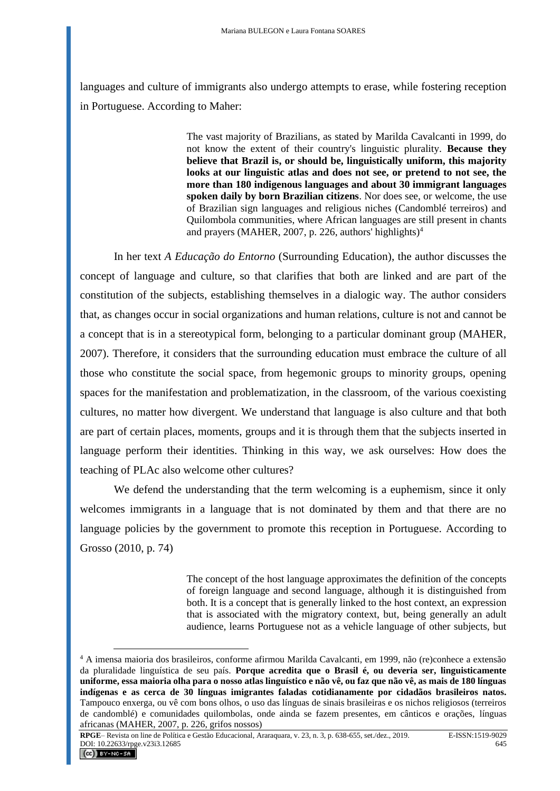languages and culture of immigrants also undergo attempts to erase, while fostering reception in Portuguese. According to Maher:

> The vast majority of Brazilians, as stated by Marilda Cavalcanti in 1999, do not know the extent of their country's linguistic plurality. **Because they believe that Brazil is, or should be, linguistically uniform, this majority looks at our linguistic atlas and does not see, or pretend to not see, the more than 180 indigenous languages and about 30 immigrant languages spoken daily by born Brazilian citizens**. Nor does see, or welcome, the use of Brazilian sign languages and religious niches (Candomblé terreiros) and Quilombola communities, where African languages are still present in chants and prayers (MAHER, 2007, p. 226, authors' highlights)<sup>4</sup>

In her text *A Educação do Entorno* (Surrounding Education), the author discusses the concept of language and culture, so that clarifies that both are linked and are part of the constitution of the subjects, establishing themselves in a dialogic way. The author considers that, as changes occur in social organizations and human relations, culture is not and cannot be a concept that is in a stereotypical form, belonging to a particular dominant group (MAHER, 2007). Therefore, it considers that the surrounding education must embrace the culture of all those who constitute the social space, from hegemonic groups to minority groups, opening spaces for the manifestation and problematization, in the classroom, of the various coexisting cultures, no matter how divergent. We understand that language is also culture and that both are part of certain places, moments, groups and it is through them that the subjects inserted in language perform their identities. Thinking in this way, we ask ourselves: How does the teaching of PLAc also welcome other cultures?

We defend the understanding that the term welcoming is a euphemism, since it only welcomes immigrants in a language that is not dominated by them and that there are no language policies by the government to promote this reception in Portuguese. According to Grosso (2010, p. 74)

> The concept of the host language approximates the definition of the concepts of foreign language and second language, although it is distinguished from both. It is a concept that is generally linked to the host context, an expression that is associated with the migratory context, but, being generally an adult audience, learns Portuguese not as a vehicle language of other subjects, but

<sup>4</sup> A imensa maioria dos brasileiros, conforme afirmou Marilda Cavalcanti, em 1999, não (re)conhece a extensão da pluralidade linguística de seu país. **Porque acredita que o Brasil é, ou deveria ser, linguisticamente uniforme, essa maioria olha para o nosso atlas linguístico e não vê, ou faz que não vê, as mais de 180 línguas indígenas e as cerca de 30 línguas imigrantes faladas cotidianamente por cidadãos brasileiros natos.** Tampouco enxerga, ou vê com bons olhos, o uso das línguas de sinais brasileiras e os nichos religiosos (terreiros de candomblé) e comunidades quilombolas, onde ainda se fazem presentes, em cânticos e orações, línguas africanas (MAHER, 2007, p. 226, grifos nossos)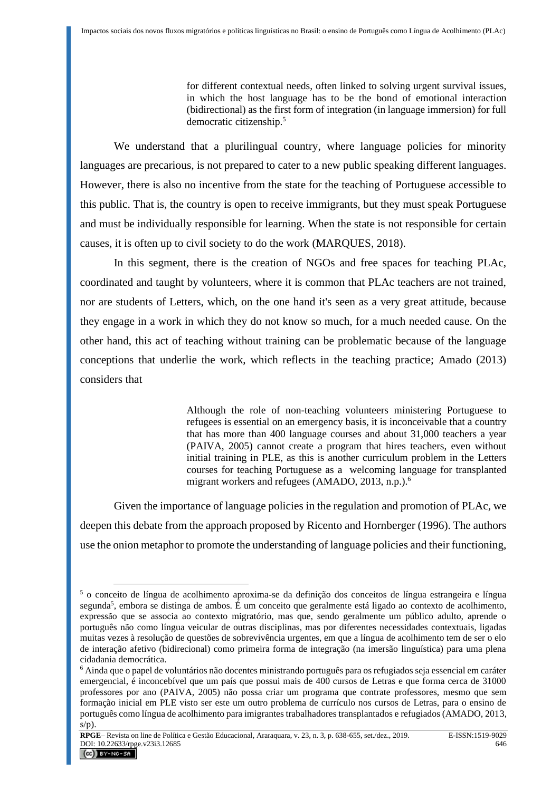for different contextual needs, often linked to solving urgent survival issues, in which the host language has to be the bond of emotional interaction (bidirectional) as the first form of integration (in language immersion) for full democratic citizenship.<sup>5</sup>

We understand that a plurilingual country, where language policies for minority languages are precarious, is not prepared to cater to a new public speaking different languages. However, there is also no incentive from the state for the teaching of Portuguese accessible to this public. That is, the country is open to receive immigrants, but they must speak Portuguese and must be individually responsible for learning. When the state is not responsible for certain causes, it is often up to civil society to do the work (MARQUES, 2018).

In this segment, there is the creation of NGOs and free spaces for teaching PLAc, coordinated and taught by volunteers, where it is common that PLAc teachers are not trained, nor are students of Letters, which, on the one hand it's seen as a very great attitude, because they engage in a work in which they do not know so much, for a much needed cause. On the other hand, this act of teaching without training can be problematic because of the language conceptions that underlie the work, which reflects in the teaching practice; Amado (2013) considers that

> Although the role of non-teaching volunteers ministering Portuguese to refugees is essential on an emergency basis, it is inconceivable that a country that has more than 400 language courses and about 31,000 teachers a year (PAIVA, 2005) cannot create a program that hires teachers, even without initial training in PLE, as this is another curriculum problem in the Letters courses for teaching Portuguese as a welcoming language for transplanted migrant workers and refugees (AMADO, 2013, n.p.).<sup>6</sup>

Given the importance of language policies in the regulation and promotion of PLAc, we deepen this debate from the approach proposed by Ricento and Hornberger (1996). The authors use the onion metaphor to promote the understanding of language policies and their functioning,

**RPGE**– Revista on line de Política e Gestão Educacional, Araraquara, v. 23, n. 3, p. 638-655, set./dez., 2019. E-ISSN:1519-9029 DOI:  $10.22633/\text{rpge.} \vee 23i3.12685$  646

<sup>5</sup> o conceito de língua de acolhimento aproxima-se da definição dos conceitos de língua estrangeira e língua segunda<sup>5</sup>, embora se distinga de ambos. É um conceito que geralmente está ligado ao contexto de acolhimento, expressão que se associa ao contexto migratório, mas que, sendo geralmente um público adulto, aprende o português não como língua veicular de outras disciplinas, mas por diferentes necessidades contextuais, ligadas muitas vezes à resolução de questões de sobrevivência urgentes, em que a língua de acolhimento tem de ser o elo de interação afetivo (bidirecional) como primeira forma de integração (na imersão linguística) para uma plena cidadania democrática.

<sup>6</sup> Ainda que o papel de voluntários não docentes ministrando português para os refugiados seja essencial em caráter emergencial, é inconcebível que um país que possui mais de 400 cursos de Letras e que forma cerca de 31000 professores por ano (PAIVA, 2005) não possa criar um programa que contrate professores, mesmo que sem formação inicial em PLE visto ser este um outro problema de currículo nos cursos de Letras, para o ensino de português como língua de acolhimento para imigrantes trabalhadores transplantados e refugiados (AMADO, 2013,  $s/p$ ).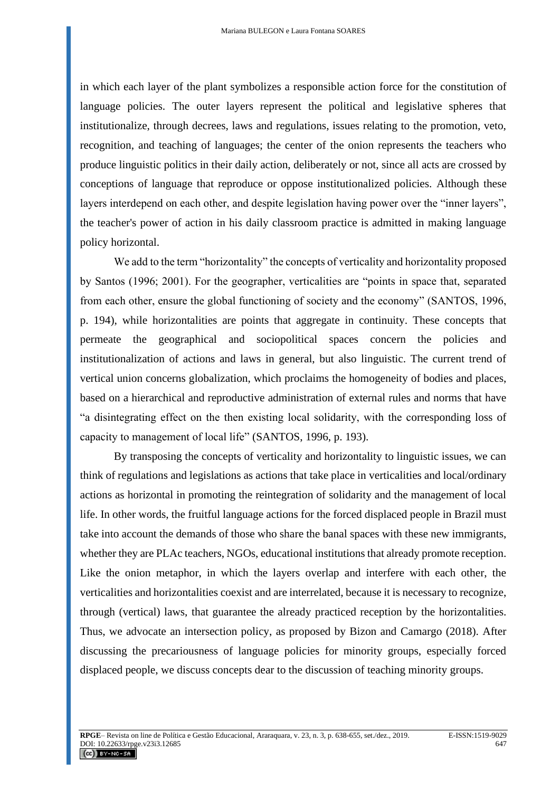in which each layer of the plant symbolizes a responsible action force for the constitution of language policies. The outer layers represent the political and legislative spheres that institutionalize, through decrees, laws and regulations, issues relating to the promotion, veto, recognition, and teaching of languages; the center of the onion represents the teachers who produce linguistic politics in their daily action, deliberately or not, since all acts are crossed by conceptions of language that reproduce or oppose institutionalized policies. Although these layers interdepend on each other, and despite legislation having power over the "inner layers", the teacher's power of action in his daily classroom practice is admitted in making language policy horizontal.

We add to the term "horizontality" the concepts of verticality and horizontality proposed by Santos (1996; 2001). For the geographer, verticalities are "points in space that, separated from each other, ensure the global functioning of society and the economy" (SANTOS, 1996, p. 194), while horizontalities are points that aggregate in continuity. These concepts that permeate the geographical and sociopolitical spaces concern the policies and institutionalization of actions and laws in general, but also linguistic. The current trend of vertical union concerns globalization, which proclaims the homogeneity of bodies and places, based on a hierarchical and reproductive administration of external rules and norms that have "a disintegrating effect on the then existing local solidarity, with the corresponding loss of capacity to management of local life" (SANTOS, 1996, p. 193).

By transposing the concepts of verticality and horizontality to linguistic issues, we can think of regulations and legislations as actions that take place in verticalities and local/ordinary actions as horizontal in promoting the reintegration of solidarity and the management of local life. In other words, the fruitful language actions for the forced displaced people in Brazil must take into account the demands of those who share the banal spaces with these new immigrants, whether they are PLAc teachers, NGOs, educational institutions that already promote reception. Like the onion metaphor, in which the layers overlap and interfere with each other, the verticalities and horizontalities coexist and are interrelated, because it is necessary to recognize, through (vertical) laws, that guarantee the already practiced reception by the horizontalities. Thus, we advocate an intersection policy, as proposed by Bizon and Camargo (2018). After discussing the precariousness of language policies for minority groups, especially forced displaced people, we discuss concepts dear to the discussion of teaching minority groups.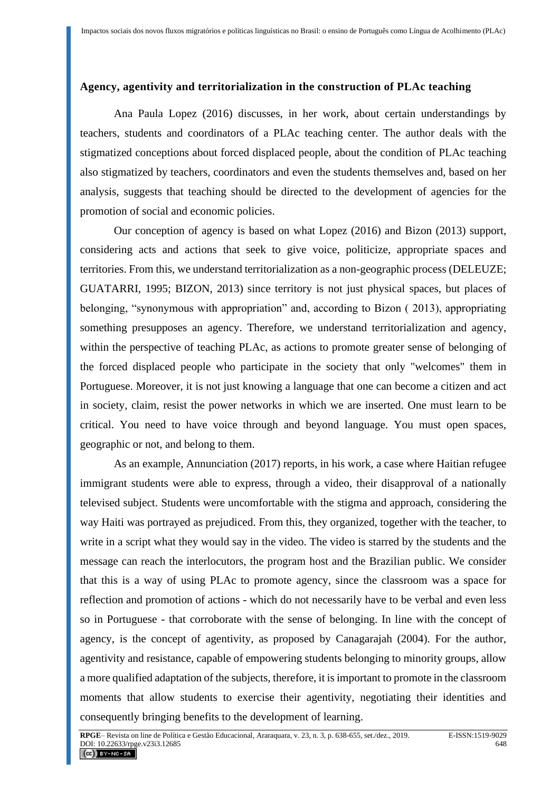### **Agency, agentivity and territorialization in the construction of PLAc teaching**

Ana Paula Lopez (2016) discusses, in her work, about certain understandings by teachers, students and coordinators of a PLAc teaching center. The author deals with the stigmatized conceptions about forced displaced people, about the condition of PLAc teaching also stigmatized by teachers, coordinators and even the students themselves and, based on her analysis, suggests that teaching should be directed to the development of agencies for the promotion of social and economic policies.

Our conception of agency is based on what Lopez (2016) and Bizon (2013) support, considering acts and actions that seek to give voice, politicize, appropriate spaces and territories. From this, we understand territorialization as a non-geographic process (DELEUZE; GUATARRI, 1995; BIZON, 2013) since territory is not just physical spaces, but places of belonging, "synonymous with appropriation" and, according to Bizon ( 2013), appropriating something presupposes an agency. Therefore, we understand territorialization and agency, within the perspective of teaching PLAc, as actions to promote greater sense of belonging of the forced displaced people who participate in the society that only "welcomes" them in Portuguese. Moreover, it is not just knowing a language that one can become a citizen and act in society, claim, resist the power networks in which we are inserted. One must learn to be critical. You need to have voice through and beyond language. You must open spaces, geographic or not, and belong to them.

As an example, Annunciation (2017) reports, in his work, a case where Haitian refugee immigrant students were able to express, through a video, their disapproval of a nationally televised subject. Students were uncomfortable with the stigma and approach, considering the way Haiti was portrayed as prejudiced. From this, they organized, together with the teacher, to write in a script what they would say in the video. The video is starred by the students and the message can reach the interlocutors, the program host and the Brazilian public. We consider that this is a way of using PLAc to promote agency, since the classroom was a space for reflection and promotion of actions - which do not necessarily have to be verbal and even less so in Portuguese - that corroborate with the sense of belonging. In line with the concept of agency, is the concept of agentivity, as proposed by Canagarajah (2004). For the author, agentivity and resistance, capable of empowering students belonging to minority groups, allow a more qualified adaptation of the subjects, therefore, it is important to promote in the classroom moments that allow students to exercise their agentivity, negotiating their identities and consequently bringing benefits to the development of learning.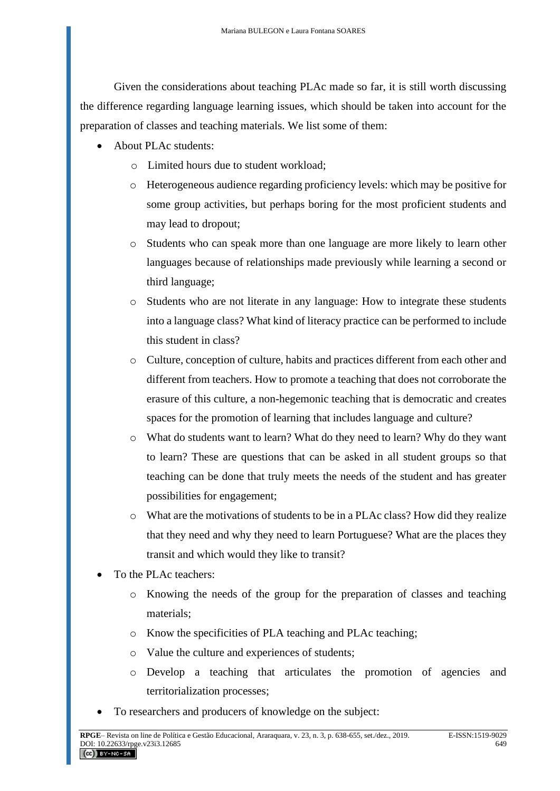Given the considerations about teaching PLAc made so far, it is still worth discussing the difference regarding language learning issues, which should be taken into account for the preparation of classes and teaching materials. We list some of them:

- About PLAc students:
	- o Limited hours due to student workload;
	- o Heterogeneous audience regarding proficiency levels: which may be positive for some group activities, but perhaps boring for the most proficient students and may lead to dropout;
	- o Students who can speak more than one language are more likely to learn other languages because of relationships made previously while learning a second or third language;
	- o Students who are not literate in any language: How to integrate these students into a language class? What kind of literacy practice can be performed to include this student in class?
	- o Culture, conception of culture, habits and practices different from each other and different from teachers. How to promote a teaching that does not corroborate the erasure of this culture, a non-hegemonic teaching that is democratic and creates spaces for the promotion of learning that includes language and culture?
	- o What do students want to learn? What do they need to learn? Why do they want to learn? These are questions that can be asked in all student groups so that teaching can be done that truly meets the needs of the student and has greater possibilities for engagement;
	- o What are the motivations of students to be in a PLAc class? How did they realize that they need and why they need to learn Portuguese? What are the places they transit and which would they like to transit?
- To the PLAc teachers:
	- o Knowing the needs of the group for the preparation of classes and teaching materials;
	- o Know the specificities of PLA teaching and PLAc teaching;
	- o Value the culture and experiences of students;
	- o Develop a teaching that articulates the promotion of agencies and territorialization processes;
- To researchers and producers of knowledge on the subject: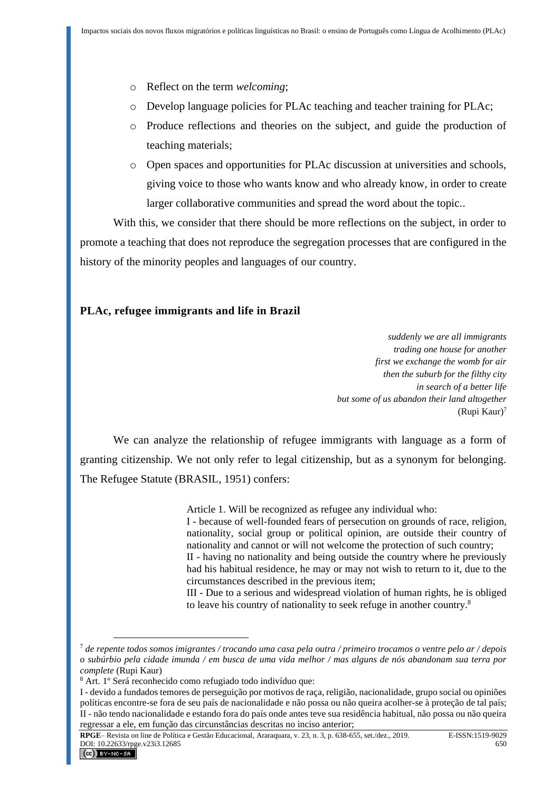- o Reflect on the term *welcoming*;
- o Develop language policies for PLAc teaching and teacher training for PLAc;
- o Produce reflections and theories on the subject, and guide the production of teaching materials;
- o Open spaces and opportunities for PLAc discussion at universities and schools, giving voice to those who wants know and who already know, in order to create larger collaborative communities and spread the word about the topic..

With this, we consider that there should be more reflections on the subject, in order to promote a teaching that does not reproduce the segregation processes that are configured in the history of the minority peoples and languages of our country.

### **PLAc, refugee immigrants and life in Brazil**

*suddenly we are all immigrants trading one house for another first we exchange the womb for air then the suburb for the filthy city in search of a better life but some of us abandon their land altogether* (Rupi Kaur)<sup>7</sup>

We can analyze the relationship of refugee immigrants with language as a form of granting citizenship. We not only refer to legal citizenship, but as a synonym for belonging. The Refugee Statute (BRASIL, 1951) confers:

Article 1. Will be recognized as refugee any individual who:

I - because of well-founded fears of persecution on grounds of race, religion, nationality, social group or political opinion, are outside their country of nationality and cannot or will not welcome the protection of such country;

II - having no nationality and being outside the country where he previously had his habitual residence, he may or may not wish to return to it, due to the circumstances described in the previous item;

III - Due to a serious and widespread violation of human rights, he is obliged to leave his country of nationality to seek refuge in another country.<sup>8</sup>

<sup>7</sup> *de repente todos somos imigrantes / trocando uma casa pela outra / primeiro trocamos o ventre pelo ar / depois o subúrbio pela cidade imunda / em busca de uma vida melhor / mas alguns de nós abandonam sua terra por complete* (Rupi Kaur)

<sup>8</sup> Art. 1º Será reconhecido como refugiado todo indivíduo que:

I - devido a fundados temores de perseguição por motivos de raça, religião, nacionalidade, grupo social ou opiniões políticas encontre-se fora de seu país de nacionalidade e não possa ou não queira acolher-se à proteção de tal país; II - não tendo nacionalidade e estando fora do país onde antes teve sua residência habitual, não possa ou não queira regressar a ele, em função das circunstâncias descritas no inciso anterior;

**RPGE**– Revista on line de Política e Gestão Educacional, Araraquara, v. 23, n. 3, p. 638-655, set./dez., 2019. E-ISSN:1519-9029 DOI:  $10.22633/\text{rpge.} \vee 23i3.12685$  650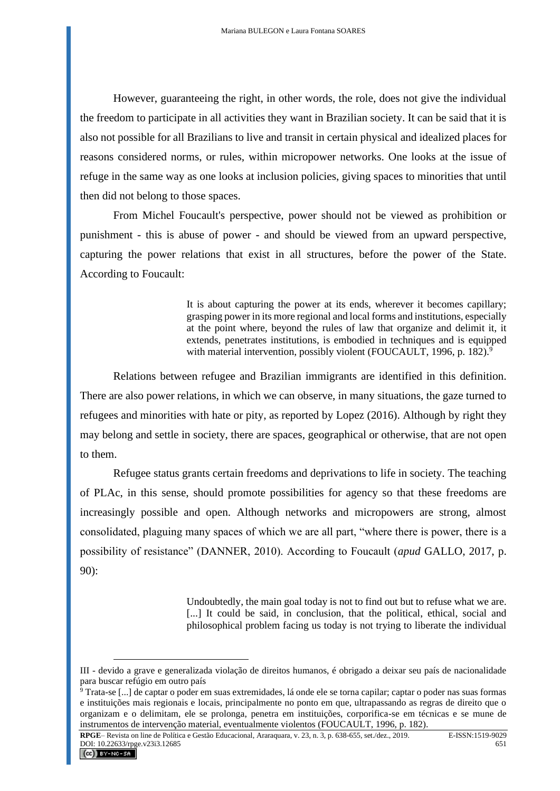However, guaranteeing the right, in other words, the role, does not give the individual the freedom to participate in all activities they want in Brazilian society. It can be said that it is also not possible for all Brazilians to live and transit in certain physical and idealized places for reasons considered norms, or rules, within micropower networks. One looks at the issue of refuge in the same way as one looks at inclusion policies, giving spaces to minorities that until then did not belong to those spaces.

From Michel Foucault's perspective, power should not be viewed as prohibition or punishment - this is abuse of power - and should be viewed from an upward perspective, capturing the power relations that exist in all structures, before the power of the State. According to Foucault:

> It is about capturing the power at its ends, wherever it becomes capillary; grasping power in its more regional and local forms and institutions, especially at the point where, beyond the rules of law that organize and delimit it, it extends, penetrates institutions, is embodied in techniques and is equipped with material intervention, possibly violent (FOUCAULT, 1996, p. 182).<sup>9</sup>

Relations between refugee and Brazilian immigrants are identified in this definition. There are also power relations, in which we can observe, in many situations, the gaze turned to refugees and minorities with hate or pity, as reported by Lopez (2016). Although by right they may belong and settle in society, there are spaces, geographical or otherwise, that are not open to them.

Refugee status grants certain freedoms and deprivations to life in society. The teaching of PLAc, in this sense, should promote possibilities for agency so that these freedoms are increasingly possible and open. Although networks and micropowers are strong, almost consolidated, plaguing many spaces of which we are all part, "where there is power, there is a possibility of resistance" (DANNER, 2010). According to Foucault (*apud* GALLO, 2017, p. 90):

> Undoubtedly, the main goal today is not to find out but to refuse what we are. [...] It could be said, in conclusion, that the political, ethical, social and philosophical problem facing us today is not trying to liberate the individual

III - devido a grave e generalizada violação de direitos humanos, é obrigado a deixar seu país de nacionalidade para buscar refúgio em outro país

 $\frac{1}{9}$  Trata-se [...] de captar o poder em suas extremidades, lá onde ele se torna capilar; captar o poder nas suas formas e instituições mais regionais e locais, principalmente no ponto em que, ultrapassando as regras de direito que o organizam e o delimitam, ele se prolonga, penetra em instituições, corporifica-se em técnicas e se mune de instrumentos de intervenção material, eventualmente violentos (FOUCAULT, 1996, p. 182).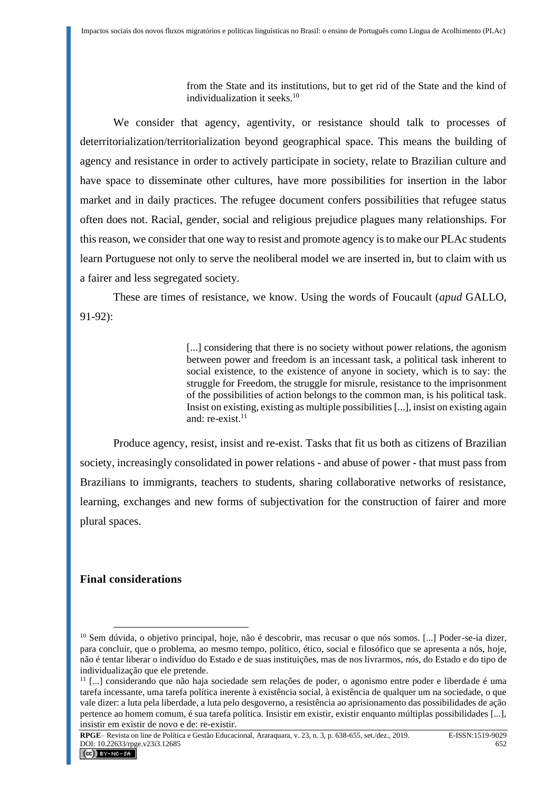from the State and its institutions, but to get rid of the State and the kind of individualization it seeks.<sup>10</sup>

We consider that agency, agentivity, or resistance should talk to processes of deterritorialization/territorialization beyond geographical space. This means the building of agency and resistance in order to actively participate in society, relate to Brazilian culture and have space to disseminate other cultures, have more possibilities for insertion in the labor market and in daily practices. The refugee document confers possibilities that refugee status often does not. Racial, gender, social and religious prejudice plagues many relationships. For this reason, we consider that one way to resist and promote agency is to make our PLAc students learn Portuguese not only to serve the neoliberal model we are inserted in, but to claim with us a fairer and less segregated society.

These are times of resistance, we know. Using the words of Foucault (*apud* GALLO, 91-92):

> [...] considering that there is no society without power relations, the agonism between power and freedom is an incessant task, a political task inherent to social existence, to the existence of anyone in society, which is to say: the struggle for Freedom, the struggle for misrule, resistance to the imprisonment of the possibilities of action belongs to the common man, is his political task. Insist on existing, existing as multiple possibilities [...], insist on existing again and:  $re-exist.<sup>11</sup>$

Produce agency, resist, insist and re-exist. Tasks that fit us both as citizens of Brazilian society, increasingly consolidated in power relations - and abuse of power - that must pass from Brazilians to immigrants, teachers to students, sharing collaborative networks of resistance, learning, exchanges and new forms of subjectivation for the construction of fairer and more plural spaces.

#### **Final considerations**

<sup>&</sup>lt;sup>10</sup> Sem dúvida, o objetivo principal, hoje, não é descobrir, mas recusar o que nós somos. [...] Poder-se-ia dizer, para concluir, que o problema, ao mesmo tempo, político, ético, social e filosófico que se apresenta a nós, hoje, não é tentar liberar o indivíduo do Estado e de suas instituições, mas de nos livrarmos, *nós*, do Estado e do tipo de individualização que ele pretende.

<sup>11</sup> [...] considerando que não haja sociedade sem relações de poder, o agonismo entre poder e liberdade é uma tarefa incessante, uma tarefa política inerente à existência social, à existência de qualquer um na sociedade, o que vale dizer: a luta pela liberdade, a luta pelo desgoverno, a resistência ao aprisionamento das possibilidades de ação pertence ao homem comum, é sua tarefa política. Insistir em existir, existir enquanto múltiplas possibilidades [...], insistir em existir de novo e de: re-existir.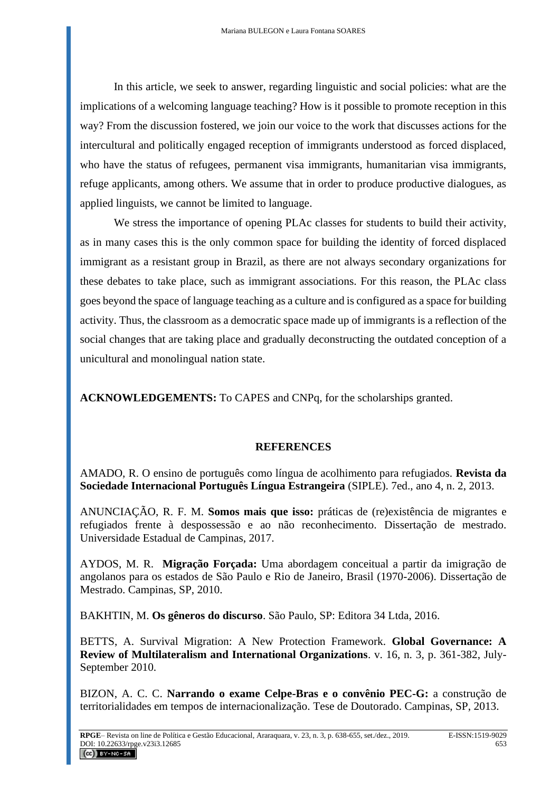In this article, we seek to answer, regarding linguistic and social policies: what are the implications of a welcoming language teaching? How is it possible to promote reception in this way? From the discussion fostered, we join our voice to the work that discusses actions for the intercultural and politically engaged reception of immigrants understood as forced displaced, who have the status of refugees, permanent visa immigrants, humanitarian visa immigrants, refuge applicants, among others. We assume that in order to produce productive dialogues, as applied linguists, we cannot be limited to language.

We stress the importance of opening PLAc classes for students to build their activity, as in many cases this is the only common space for building the identity of forced displaced immigrant as a resistant group in Brazil, as there are not always secondary organizations for these debates to take place, such as immigrant associations. For this reason, the PLAc class goes beyond the space of language teaching as a culture and is configured as a space for building activity. Thus, the classroom as a democratic space made up of immigrants is a reflection of the social changes that are taking place and gradually deconstructing the outdated conception of a unicultural and monolingual nation state.

**ACKNOWLEDGEMENTS:** To CAPES and CNPq, for the scholarships granted.

# **REFERENCES**

AMADO, R. O ensino de português como língua de acolhimento para refugiados. **Revista da Sociedade Internacional Português Língua Estrangeira** (SIPLE). 7ed., ano 4, n. 2, 2013.

ANUNCIAÇÃO, R. F. M. **Somos mais que isso:** práticas de (re)existência de migrantes e refugiados frente à despossessão e ao não reconhecimento. Dissertação de mestrado. Universidade Estadual de Campinas, 2017.

AYDOS, M. R. **Migração Forçada:** Uma abordagem conceitual a partir da imigração de angolanos para os estados de São Paulo e Rio de Janeiro, Brasil (1970-2006). Dissertação de Mestrado. Campinas, SP, 2010.

BAKHTIN, M. **Os gêneros do discurso**. São Paulo, SP: Editora 34 Ltda, 2016.

BETTS, A. Survival Migration: A New Protection Framework. **Global Governance: A Review of Multilateralism and International Organizations**. v. 16, n. 3, p. 361-382, July-September 2010.

BIZON, A. C. C. **Narrando o exame Celpe-Bras e o convênio PEC-G:** a construção de territorialidades em tempos de internacionalização. Tese de Doutorado. Campinas, SP, 2013.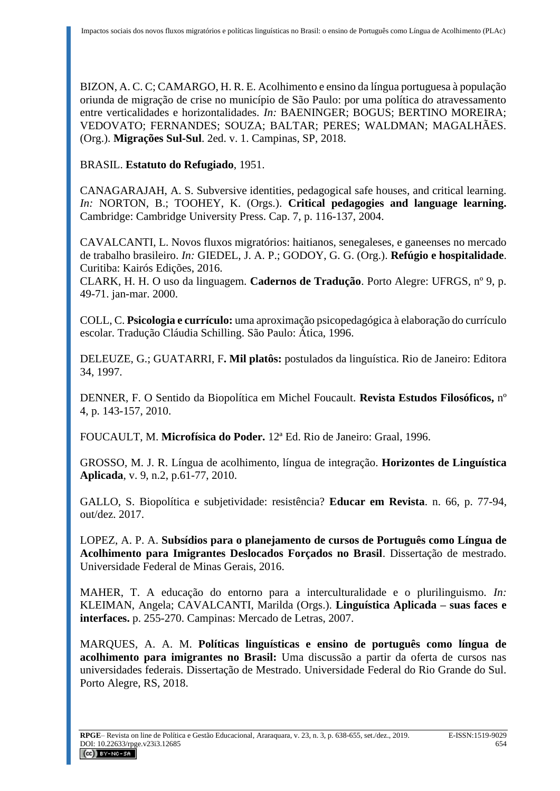BIZON, A. C. C; CAMARGO, H. R. E. Acolhimento e ensino da língua portuguesa à população oriunda de migração de crise no município de São Paulo: por uma política do atravessamento entre verticalidades e horizontalidades. *In:* BAENINGER; BOGUS; BERTINO MOREIRA; VEDOVATO; FERNANDES; SOUZA; BALTAR; PERES; WALDMAN; MAGALHÃES. (Org.). **Migrações Sul-Sul**. 2ed. v. 1. Campinas, SP, 2018.

BRASIL. **Estatuto do Refugiado**, 1951.

CANAGARAJAH, A. S. Subversive identities, pedagogical safe houses, and critical learning. *In:* NORTON, B.; TOOHEY, K. (Orgs.). **Critical pedagogies and language learning.** Cambridge: Cambridge University Press. Cap. 7, p. 116-137, 2004.

CAVALCANTI, L. Novos fluxos migratórios: haitianos, senegaleses, e ganeenses no mercado de trabalho brasileiro. *In:* GIEDEL, J. A. P.; GODOY, G. G. (Org.). **Refúgio e hospitalidade**. Curitiba: Kairós Edições, 2016.

CLARK, H. H. O uso da linguagem. **Cadernos de Tradução**. Porto Alegre: UFRGS, nº 9, p. 49-71. jan-mar. 2000.

COLL, C. **Psicologia e currículo:** uma aproximação psicopedagógica à elaboração do currículo escolar. Tradução Cláudia Schilling. São Paulo: Ática, 1996.

DELEUZE, G.; GUATARRI, F**. Mil platôs:** postulados da linguística. Rio de Janeiro: Editora 34, 1997.

DENNER, F. O Sentido da Biopolítica em Michel Foucault. **Revista Estudos Filosóficos,** nº 4, p. 143-157, 2010.

FOUCAULT, M. **Microfísica do Poder.** 12ª Ed. Rio de Janeiro: Graal, 1996.

GROSSO, M. J. R. Língua de acolhimento, língua de integração. **Horizontes de Linguística Aplicada**, v. 9, n.2, p.61-77, 2010.

GALLO, S. Biopolítica e subjetividade: resistência? **Educar em Revista**. n. 66, p. 77-94, out/dez. 2017.

LOPEZ, A. P. A. **Subsídios para o planejamento de cursos de Português como Língua de Acolhimento para Imigrantes Deslocados Forçados no Brasil**. Dissertação de mestrado. Universidade Federal de Minas Gerais, 2016.

MAHER, T. A educação do entorno para a interculturalidade e o plurilinguismo. *In:* KLEIMAN, Angela; CAVALCANTI, Marilda (Orgs.). **Linguística Aplicada – suas faces e interfaces.** p. 255-270. Campinas: Mercado de Letras, 2007.

MARQUES, A. A. M. **Políticas linguísticas e ensino de português como língua de acolhimento para imigrantes no Brasil:** Uma discussão a partir da oferta de cursos nas universidades federais. Dissertação de Mestrado. Universidade Federal do Rio Grande do Sul. Porto Alegre, RS, 2018.